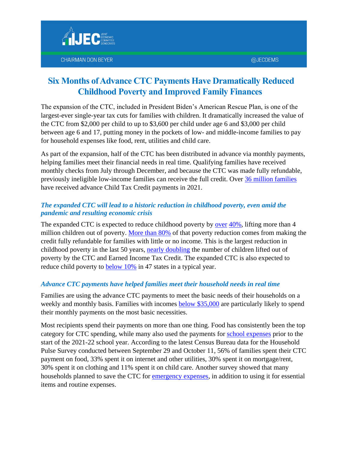

# **CHAIRMAN DON BEYER**

# **Six Months of Advance CTC Payments Have Dramatically Reduced Childhood Poverty and Improved Family Finances**

The expansion of the CTC, included in President Biden's American Rescue Plan, is one of the largest-ever single-year tax cuts for families with children. It dramatically increased the value of the CTC from \$2,000 per child to up to \$3,600 per child under age 6 and \$3,000 per child between age 6 and 17, putting money in the pockets of low- and middle-income families to pay for household expenses like food, rent, utilities and child care.

As part of the expansion, half of the CTC has been distributed in advance via monthly payments, helping families meet their financial needs in real time. Qualifying families have received monthly checks from July through December, and because the CTC was made fully refundable, previously ineligible low-income families can receive the full credit. Over [36 million families](https://home.treasury.gov/system/files/131/Advance-CTC-Payments-Disbursed-November-2021-by-State-11162021.pdf) have received advance Child Tax Credit payments in 2021.

#### *The expanded CTC will lead to a historic reduction in childhood poverty, even amid the pandemic and resulting economic crisis*

The expanded CTC is expected to reduce childhood poverty by [over](https://www.cbpp.org/research/federal-tax/recovery-package-should-permanently-include-families-with-low-incomes-in-full) [40%,](https://www.urban.org/research/publication/expanding-child-tax-credit-could-lift-millions-children-out-poverty) lifting more than 4 million children out of poverty. [More than 80%](https://www.cbpp.org/research/federal-tax/earnings-requirement-would-undermine-child-tax-credits-poverty-reducing-impact#_edn3) of that poverty reduction comes from making the credit fully refundable for families with little or no income. This is the largest reduction in childhood poverty in the last 50 years, [nearly doubling](https://www.cbpp.org/research/poverty-and-inequality/economic-security-programs-reduce-overall-poverty-racial-and-ethnic) the number of children lifted out of poverty by the CTC and Earned Income Tax Credit. The expanded CTC is also expected to reduce child poverty to [below 10%](https://www.taxpolicycenter.org/taxvox/expanded-child-tax-credit-would-reduce-poverty-below-10-percent-nearly-all-states) in 47 states in a typical yea[r.](https://www.urban.org/research/publication/expanding-child-tax-credit-could-lift-millions-children-out-poverty)

# *Advance CTC payments have helped families meet their household needs in real time*

Families are using the advance CTC payments to meet the basic needs of their households on a weekly and monthly basis. Families with incomes [below \\$35,000](https://www.cbpp.org/research/federal-tax/if-congress-fails-to-act-monthly-child-tax-credit-payments-will-stop-child) are particularly likely to spend their monthly payments on the most basic necessities.

Most recipients spend their payments on more than one thing. Food has consistently been the top category for CTC spending, while many also used the payments for [school expenses](https://www.census.gov/library/stories/2021/10/nearly-a-third-of-parents-spent-child-tax-credit-on-school-expenses.html) prior to the start of the 2021-22 school year. According to the latest Census Bureau data for the Household Pulse Survey conducted between September 29 and October 11, 56% of families spent their CTC payment on food, 33% spent it on internet and other utilities, 30% spent it on mortgage/rent, 30% spent it on clothing and 11% spent it on child care. Another survey showed that many households planned to save the CTC for [emergency expenses,](https://openscholarship.wustl.edu/cgi/viewcontent.cgi?article=1055&context=spi_research) in addition to using it for essential items and routine expenses.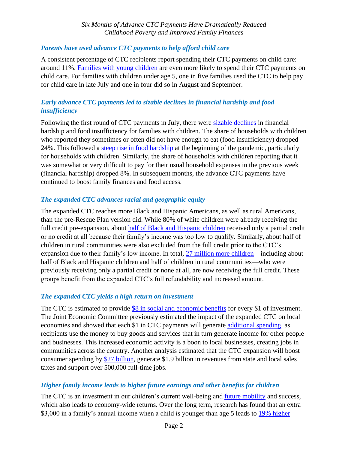## *Parents have used advance CTC payments to help afford child care*

A consistent percentage of CTC recipients report spending their CTC payments on child care: around 11%. [Families with young children](https://www.census.gov/library/stories/2021/10/nearly-a-third-of-parents-spent-child-tax-credit-on-school-expenses.html) are even more likely to spend their CTC payments on child care. For families with children under age 5, one in five families used the CTC to help pay for child care in late July and one in four did so in August and September.

# *Early advance CTC payments led to sizable declines in financial hardship and food insufficiency*

Following the first round of CTC payments in July, there were sizable [declines](https://www.jec.senate.gov/public/index.cfm/democrats/issue-briefs?ID=A89CF4C0-B830-47D1-B828-84F860831391) in financial hardship and food insufficiency for families with children. The share of households with children who reported they sometimes or often did not have enough to eat (food insufficiency) dropped 24%. This followed a [steep rise in food hardship](https://www.cbpp.org/research/food-assistance/number-of-families-struggling-to-afford-food-rose-steeply-in-pandemic-and) at the beginning of the pandemic, particularly for households with children. Similarly, the share of households with children reporting that it was somewhat or very difficult to pay for their usual household expenses in the previous week (financial hardship) dropped 8%. In subsequent months, the advance CTC payments have continued to boost family finances and food access.

## *The expanded CTC advances racial and geographic equity*

The expanded CTC reaches more Black and Hispanic Americans, as well as rural Americans, than the pre-Rescue Plan version did. While 80% of white children were already receiving the full credit pre-expansion, about [half of Black and Hispanic](https://www.cbpp.org/sites/default/files/9-23-21tax.pdf) children received only a partial credit or no credit at all because their family's income was too low to qualify. Similarly, about half of children in rural communities were also excluded from the full credit prior to the CTC's expansion due to their family's low income. In total, [27 million more children—](https://www.cbpp.org/research/federal-tax/if-congress-fails-to-act-monthly-child-tax-credit-payments-will-stop-child)including about half of Black and Hispanic children and half of children in rural communities—who were previously receiving only a partial credit or none at all, are now receiving the full credit. These groups benefit from the expanded CTC's full refundability and increased amount.

#### *The expanded CTC yields a high return on investment*

The CTC is estimated to provide [\\$8 in social and economic benefits](https://www.povertycenter.columbia.edu/news-internal/2021/child-allowance/cost-benefit-analysis) for every \$1 of investment. The Joint Economic Committee previously estimated the impact of the expanded CTC on local economies and showed that each \$1 in CTC payments will generate [additional spending,](https://www.jec.senate.gov/public/index.cfm/democrats/issue-briefs?ID=E5A8928D-600D-4ED1-A95D-2035F821D816) as recipients use the money to buy goods and services that in turn generate income for other people and businesses. This increased economic activity is a boon to local businesses, creating jobs in communities across the country. Another analysis estimated that the CTC expansion will boost consumer spending by [\\$27 billion,](https://www.niskanencenter.org/report-measuring-the-child-tax-credits-economic-and-community-impact/) generate \$1.9 billion in revenues from state and local sales taxes and support over 500,000 full-time jobs.

#### *Higher family income leads to higher future earnings and other benefits for children*

The CTC is an investment in our children's current well-being and [future mobility](https://www.povertycenter.columbia.edu/news-internal/2021/child-allowance/cost-benefit-analysis) and success, which also leads to economy-wide returns. Over the long term, research has found that an extra \$3,000 in a family's annual income when a child is younger than age 5 leads to 19% higher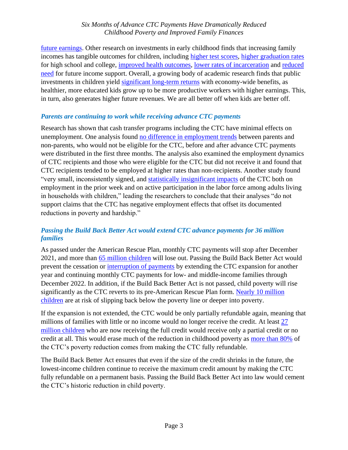#### *Six Months of Advance CTC Payments Have Dramatically Reduced Childhood Poverty and Improved Family Finances*

[future earnings.](https://www.jstor.org/stable/40598980?seq=1#metadata_info_tab_contents) Other research on investments in early childhood finds that increasing family incomes has tangible outcomes for children, including [higher test scores,](https://www.ntanet.org/wp-content/uploads/proceedings/2011/018-chetty-new-evidence-longterm-2011-nta-proceedings.pdf) higher [graduation rates](https://www.journals.uchicago.edu/doi/abs/10.1086/697477) for high school and college, [improved health outcomes,](https://www.aeaweb.org/articles?id=10.1257/aer.20130375) [lower rates of incarceration](https://www.nber.org/papers/w26942) and [reduced](https://www.nber.org/papers/w26942)  [need](https://www.nber.org/papers/w26942) for future income support. Overall, a growing body of academic research finds that public investments in children yield [significant long-term returns](https://scholar.harvard.edu/files/hendren/files/welfare_vnber.pdf) with economy-wide benefits, as healthier, more educated kids grow up to be more productive workers with higher earnings. This, in turn, also generates higher future revenues. We are all better off when kids are better off.

## *Parents are continuing to work while receiving advance CTC payments*

Research has shown that cash transfer programs including the CTC have minimal effects on unemployment. One analysis found [no difference in employment trends](https://cpb-us-w2.wpmucdn.com/sites.wustl.edu/dist/a/2003/files/2021/10/CTC-and-Employment-10212021.pdf) between parents and non-parents, who would not be eligible for the CTC, before and after advance CTC payments were distributed in the first three months. The analysis also examined the employment dynamics of CTC recipients and those who were eligible for the CTC but did not receive it and found that CTC recipients tended to be employed at higher rates than non-recipients. Another study found "very small, inconsistently signed, and [statistically insignificant impacts](https://static1.squarespace.com/static/5743308460b5e922a25a6dc7/t/6163c1c81d0509724688fab1/1633927625843/Child-Tax-Credit-Expansion-on-Employment-CPSP-2021.pdf) of the CTC both on employment in the prior week and on active participation in the labor force among adults living in households with children," leading the researchers to conclude that their analyses "do not support claims that the CTC has negative employment effects that offset its documented reductions in poverty and hardship."

# *Passing the Build Back Better Act would extend CTC advance payments for 36 million families*

As passed under the American Rescue Plan, monthly CTC payments will stop after December 2021, and more than [65 million children](https://www.cbpp.org/research/federal-tax/if-congress-fails-to-act-monthly-child-tax-credit-payments-will-stop-child) will lose out. Passing the Build Back Better Act would prevent the cessation or [interruption of payments](https://www.cbpp.org/research/federal-tax/if-congress-fails-to-act-monthly-child-tax-credit-payments-will-stop-child) by extending the CTC expansion for another year and continuing monthly CTC payments for low- and middle-income families through December 2022. In addition, if the Build Back Better Act is not passed, child poverty will rise significantly as the CTC reverts to its pre-American Rescue Plan form. [Nearly 10 million](https://www.cbpp.org/research/federal-tax/if-congress-fails-to-act-monthly-child-tax-credit-payments-will-stop-child)  [children](https://www.cbpp.org/research/federal-tax/if-congress-fails-to-act-monthly-child-tax-credit-payments-will-stop-child) are at risk of slipping back below the poverty line or deeper into poverty.

If the expansion is not extended, the CTC would be only partially refundable again, meaning that millions of families with little or no income would no longer receive the credit. At least [27](https://www.cbpp.org/research/federal-tax/if-congress-fails-to-act-monthly-child-tax-credit-payments-will-stop-child)  [million children](https://www.cbpp.org/research/federal-tax/if-congress-fails-to-act-monthly-child-tax-credit-payments-will-stop-child) who are now receiving the full credit would receive only a partial credit or no credit at all. This would erase much of the reduction in childhood poverty as [more than 80%](https://www.cbpp.org/research/federal-tax/earnings-requirement-would-undermine-child-tax-credits-poverty-reducing-impact#_edn3) of the CTC's poverty reduction comes from making the CTC fully refundable.

The Build Back Better Act ensures that even if the size of the credit shrinks in the future, the lowest-income children continue to receive the maximum credit amount by making the CTC fully refundable on a permanent basis. Passing the Build Back Better Act into law would cement the CTC's historic reduction in child poverty.